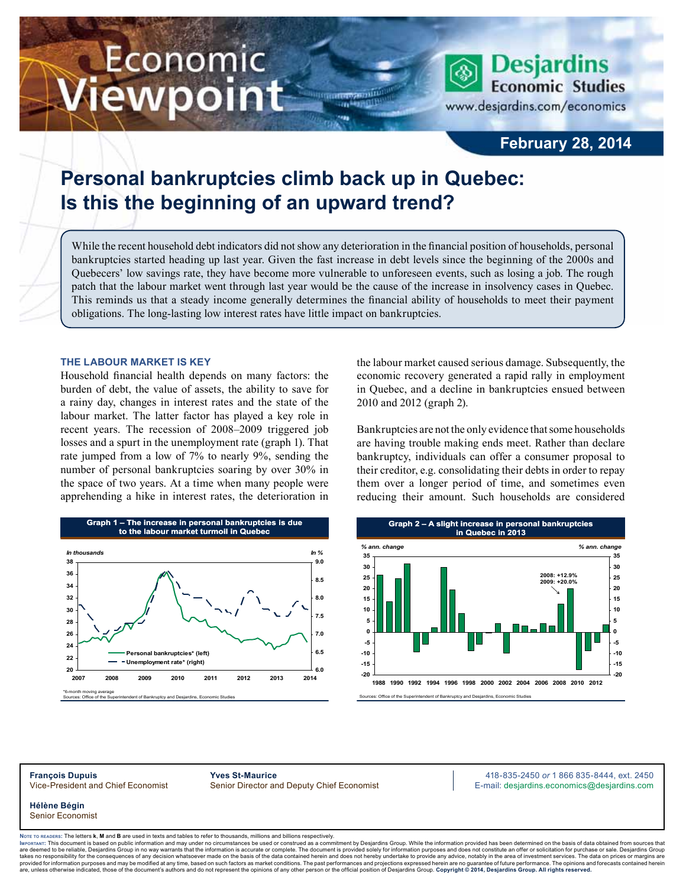# Economic ewpoint

**Economic Studies** www.desjardins.com/economics

**Desjardins** 

### **February 28, 2014**

## **Personal bankruptcies climb back up in Quebec: Is this the beginning of an upward trend?**

While the recent household debt indicators did not show any deterioration in the financial position of households, personal bankruptcies started heading up last year. Given the fast increase in debt levels since the beginning of the 2000s and Quebecers' low savings rate, they have become more vulnerable to unforeseen events, such as losing a job. The rough patch that the labour market went through last year would be the cause of the increase in insolvency cases in Quebec. This reminds us that a steady income generally determines the financial ability of households to meet their payment obligations. The long-lasting low interest rates have little impact on bankruptcies.

m

#### **The labour market is key**

Household financial health depends on many factors: the burden of debt, the value of assets, the ability to save for a rainy day, changes in interest rates and the state of the labour market. The latter factor has played a key role in recent years. The recession of 2008–2009 triggered job losses and a spurt in the unemployment rate (graph 1). That rate jumped from a low of 7% to nearly 9%, sending the number of personal bankruptcies soaring by over 30% in the space of two years. At a time when many people were apprehending a hike in interest rates, the deterioration in



Sources: Office of the Superintendent of Bankruptcy and Desjardins, Economic Studies

the labour market caused serious damage. Subsequently, the economic recovery generated a rapid rally in employment in Quebec, and a decline in bankruptcies ensued between 2010 and 2012 (graph 2).

Bankruptcies are not the only evidence that some households are having trouble making ends meet. Rather than declare bankruptcy, individuals can offer a consumer proposal to their creditor, e.g. consolidating their debts in order to repay them over a longer period of time, and sometimes even reducing their amount. Such households are considered



**François Dupuis Yves St-Maurice** 418-835-2450 *or* 1 866 835-8444, ext. 2450 Vice-President and Chief Economist Senior Director and Deputy Chief Economist E-mail: desjardins.economics@desjardins.com

**Hélène Bégin** Senior Economist

Noте то келоекs: The letters **k, M** and **B** are used in texts and tables to refer to thousands, millions and billions respectively.<br>Імроктлит: This document is based on public information and may under no circumstances be are deemed to be reliable. Desiardins Group in no way warrants that the information is accurate or complete. The document is provided solely for information purposes and does not constitute an offer or solicitation for pur takes no responsibility for the consequences of any decision whatsoever made on the basis of the data contained herein and does not hereby undertake to provide any advice, notably in the area of investment services. The da .<br>are, unless otherwise indicated, those of the document's authors and do not represent the opinions of any other person or the official position of Desjardins Group. Copyright © 2014, Desjardins Group. All rights reserve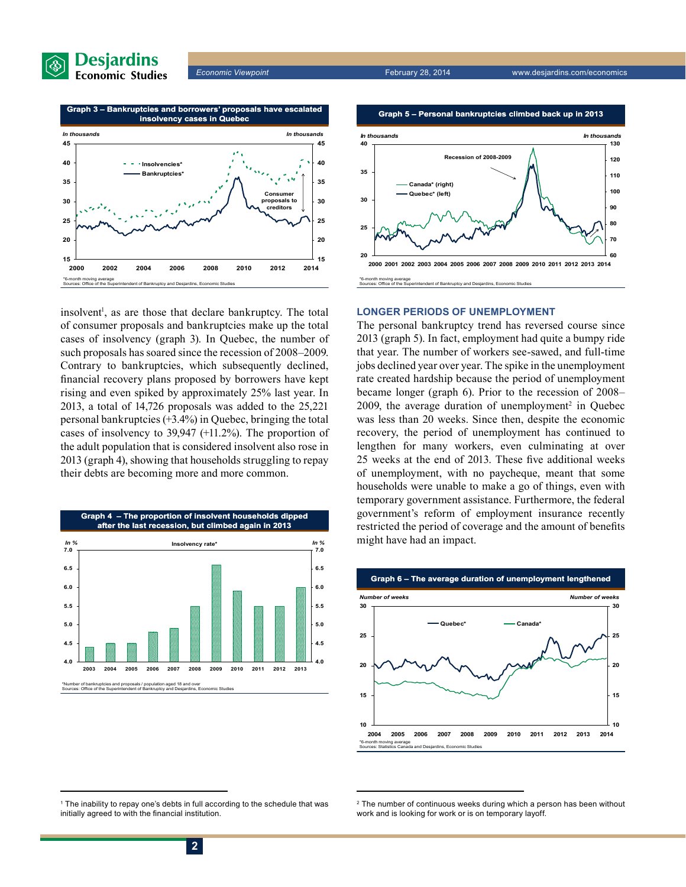



insolvent<sup>1</sup>, as are those that declare bankruptcy. The total of consumer proposals and bankruptcies make up the total cases of insolvency (graph 3). In Quebec, the number of such proposals has soared since the recession of 2008–2009. Contrary to bankruptcies, which subsequently declined, financial recovery plans proposed by borrowers have kept rising and even spiked by approximately 25% last year. In 2013, a total of 14,726 proposals was added to the 25,221 personal bankruptcies (+3.4%) in Quebec, bringing the total cases of insolvency to 39,947 (+11.2%). The proportion of the adult population that is considered insolvent also rose in 2013 (graph 4), showing that households struggling to repay their debts are becoming more and more common.







#### **LONGER PERIODS OF UNEMPLOYMENT**

The personal bankruptcy trend has reversed course since 2013 (graph 5). In fact, employment had quite a bumpy ride that year. The number of workers see-sawed, and full-time jobs declined year over year. The spike in the unemployment rate created hardship because the period of unemployment became longer (graph 6). Prior to the recession of 2008–  $2009$ , the average duration of unemployment<sup>2</sup> in Quebec was less than 20 weeks. Since then, despite the economic recovery, the period of unemployment has continued to lengthen for many workers, even culminating at over 25 weeks at the end of 2013. These five additional weeks of unemployment, with no paycheque, meant that some households were unable to make a go of things, even with temporary government assistance. Furthermore, the federal government's reform of employment insurance recently restricted the period of coverage and the amount of benefits might have had an impact.



<sup>1</sup> The inability to repay one's debts in full according to the schedule that was initially agreed to with the financial institution.

<sup>&</sup>lt;sup>2</sup> The number of continuous weeks during which a person has been without work and is looking for work or is on temporary layoff.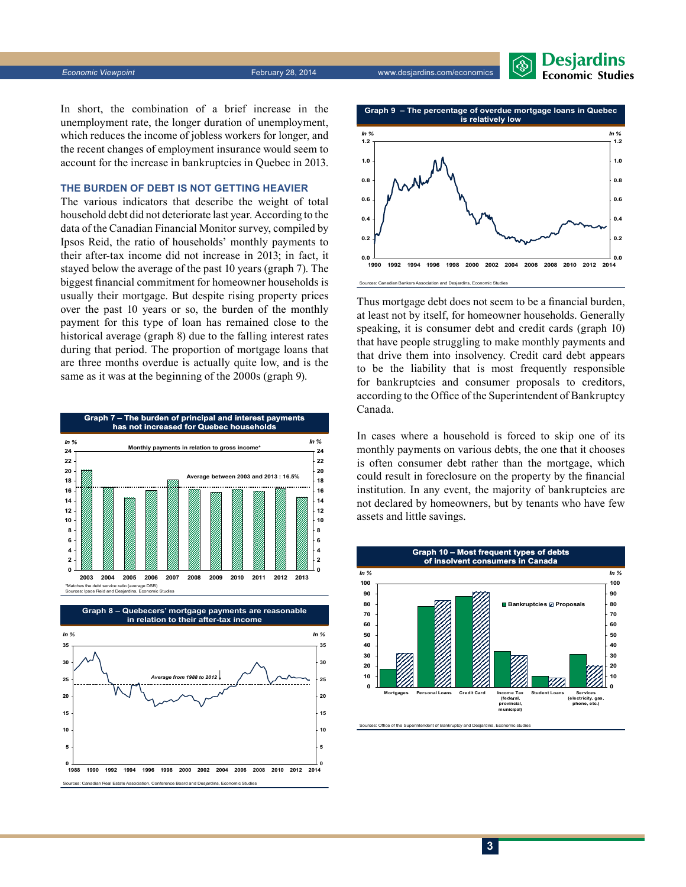*Economic Viewpoint* February 28, 2014 www.desjardins.com/economics



In short, the combination of a brief increase in the unemployment rate, the longer duration of unemployment, which reduces the income of jobless workers for longer, and the recent changes of employment insurance would seem to account for the increase in bankruptcies in Quebec in 2013.

#### **The burden of debt is not getting heavier**

The various indicators that describe the weight of total household debt did not deteriorate last year. According to the data of the Canadian Financial Monitor survey, compiled by Ipsos Reid, the ratio of households' monthly payments to their after-tax income did not increase in 2013; in fact, it stayed below the average of the past 10 years (graph 7). The biggest financial commitment for homeowner households is usually their mortgage. But despite rising property prices over the past 10 years or so, the burden of the monthly payment for this type of loan has remained close to the historical average (graph 8) due to the falling interest rates during that period. The proportion of mortgage loans that are three months overdue is actually quite low, and is the same as it was at the beginning of the 2000s (graph 9).







Thus mortgage debt does not seem to be a financial burden, at least not by itself, for homeowner households. Generally speaking, it is consumer debt and credit cards (graph 10) that have people struggling to make monthly payments and that drive them into insolvency. Credit card debt appears to be the liability that is most frequently responsible for bankruptcies and consumer proposals to creditors, according to the Office of the Superintendent of Bankruptcy Canada.

In cases where a household is forced to skip one of its monthly payments on various debts, the one that it chooses is often consumer debt rather than the mortgage, which could result in foreclosure on the property by the financial institution. In any event, the majority of bankruptcies are not declared by homeowners, but by tenants who have few assets and little savings.